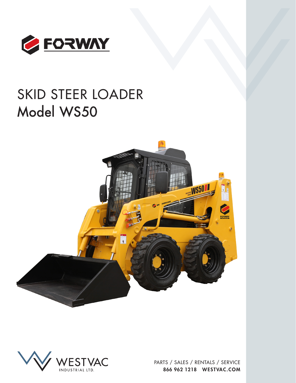

# SKID STEER LOADER Model WS50





PARTS / SALES / RENTALS / SERVICE 866 962 1218 WESTVAC.COM